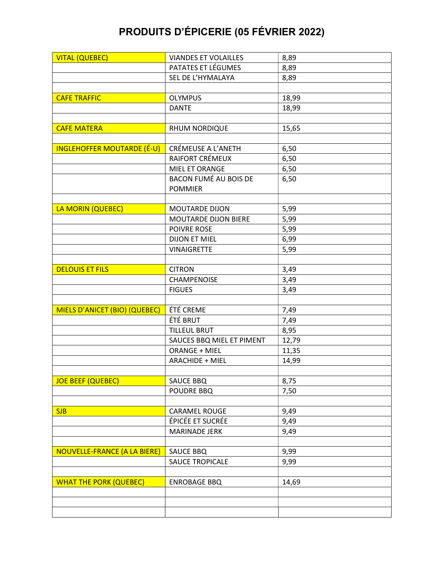| <b>VITAL (QUEBEC)</b>               | <b>VIANDES ET VOLAILLES</b>  | 8,89  |
|-------------------------------------|------------------------------|-------|
|                                     | PATATES ET LÉGUMES           | 8,89  |
|                                     | SEL DE L'HYMALAYA            | 8,89  |
|                                     |                              |       |
| <b>CAFE TRAFFIC</b>                 | <b>OLYMPUS</b>               | 18,99 |
|                                     | <b>DANTE</b>                 | 18,99 |
|                                     |                              |       |
| <b>CAFE MATERA</b>                  | RHUM NORDIQUE                | 15,65 |
|                                     |                              |       |
| <b>INGLEHOFFER MOUTARDE (É-U)</b>   | CRÉMEUSE A L'ANETH           | 6,50  |
|                                     | RAIFORT CRÉMEUX              | 6,50  |
|                                     | MIEL ET ORANGE               | 6,50  |
|                                     | <b>BACON FUMÉ AU BOIS DE</b> | 6,50  |
|                                     | <b>POMMIER</b>               |       |
|                                     |                              |       |
| LA MORIN (QUEBEC)                   | <b>MOUTARDE DIJON</b>        | 5,99  |
|                                     | MOUTARDE DIJON BIERE         | 5,99  |
|                                     | POIVRE ROSE                  | 5,99  |
|                                     | <b>DIJON ET MIEL</b>         | 6,99  |
|                                     | <b>VINAIGRETTE</b>           | 5,99  |
|                                     |                              |       |
| <b>DELOUIS ET FILS</b>              | <b>CITRON</b>                | 3,49  |
|                                     | CHAMPENOISE                  | 3,49  |
|                                     | <b>FIGUES</b>                | 3,49  |
|                                     |                              |       |
| MIELS D'ANICET (BIO) (QUEBEC)       | ÉTÉ CREME                    | 7,49  |
|                                     | ÉTÉ BRUT                     | 7,49  |
|                                     | <b>TILLEUL BRUT</b>          | 8,95  |
|                                     | SAUCES BBQ MIEL ET PIMENT    | 12,79 |
|                                     | ORANGE + MIEL                | 11,35 |
|                                     | <b>ARACHIDE + MIEL</b>       | 14,99 |
|                                     |                              |       |
| <b>JOE BEEF (QUEBEC)</b>            | <b>SAUCE BBQ</b>             | 8,75  |
|                                     | POUDRE BBQ                   | 7,50  |
|                                     |                              |       |
| <b>SJB</b>                          | <b>CARAMEL ROUGE</b>         | 9,49  |
|                                     | ÉPICÉE ET SUCRÉE             | 9,49  |
|                                     | <b>MARINADE JERK</b>         | 9,49  |
|                                     |                              |       |
| <b>NOUVELLE-FRANCE (A LA BIERE)</b> | <b>SAUCE BBQ</b>             | 9,99  |
|                                     | <b>SAUCE TROPICALE</b>       | 9,99  |
|                                     |                              |       |
| <b>WHAT THE PORK (QUEBEC)</b>       | <b>ENROBAGE BBQ</b>          | 14,69 |
|                                     |                              |       |
|                                     |                              |       |
|                                     |                              |       |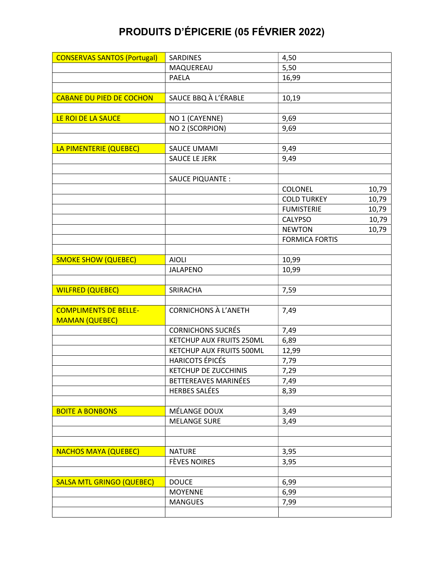|                                                                 | MAQUEREAU                                                              | 5,50                                 |       |
|-----------------------------------------------------------------|------------------------------------------------------------------------|--------------------------------------|-------|
|                                                                 | <b>PAELA</b>                                                           | 16,99                                |       |
|                                                                 |                                                                        |                                      |       |
| <b>CABANE DU PIED DE COCHON</b>                                 | SAUCE BBQ À L'ÉRABLE                                                   | 10,19                                |       |
|                                                                 |                                                                        |                                      |       |
| LE ROI DE LA SAUCE                                              | NO 1 (CAYENNE)                                                         | 9,69                                 |       |
|                                                                 | NO 2 (SCORPION)                                                        | 9,69                                 |       |
|                                                                 |                                                                        |                                      |       |
| LA PIMENTERIE (QUEBEC)                                          | <b>SAUCE UMAMI</b>                                                     | 9,49                                 |       |
|                                                                 | SAUCE LE JERK                                                          | 9,49                                 |       |
|                                                                 |                                                                        |                                      |       |
|                                                                 | SAUCE PIQUANTE :                                                       |                                      |       |
|                                                                 |                                                                        | COLONEL                              | 10,79 |
|                                                                 |                                                                        | <b>COLD TURKEY</b>                   | 10,79 |
|                                                                 |                                                                        | <b>FUMISTERIE</b>                    | 10,79 |
|                                                                 |                                                                        | <b>CALYPSO</b>                       | 10,79 |
|                                                                 |                                                                        | <b>NEWTON</b>                        | 10,79 |
|                                                                 |                                                                        | <b>FORMICA FORTIS</b>                |       |
|                                                                 |                                                                        |                                      |       |
| <b>SMOKE SHOW (QUEBEC)</b>                                      | <b>AIOLI</b>                                                           | 10,99                                |       |
|                                                                 | <b>JALAPENO</b>                                                        | 10,99                                |       |
|                                                                 |                                                                        |                                      |       |
| <b>WILFRED (QUEBEC)</b>                                         | SRIRACHA                                                               | 7,59                                 |       |
|                                                                 |                                                                        |                                      |       |
| <b>COMPLIMENTS DE BELLE-</b>                                    | <b>CORNICHONS À L'ANETH</b>                                            | 7,49                                 |       |
| <b>MAMAN (QUEBEC)</b>                                           |                                                                        |                                      |       |
|                                                                 | <b>CORNICHONS SUCRÉS</b>                                               | 7,49                                 |       |
|                                                                 | KETCHUP AUX FRUITS 250ML                                               | 6,89                                 |       |
|                                                                 | KETCHUP AUX FRUITS 500ML                                               | 12,99                                |       |
|                                                                 | <b>HARICOTS ÉPICÉS</b>                                                 | 7,79                                 |       |
|                                                                 | <b>KETCHUP DE ZUCCHINIS</b>                                            | 7,29                                 |       |
|                                                                 | BETTEREAVES MARINÉES<br><b>HERBES SALÉES</b>                           | 7,49                                 |       |
|                                                                 |                                                                        | 8,39                                 |       |
| <b>BOITE A BONBONS</b>                                          | MÉLANGE DOUX                                                           | 3,49                                 |       |
|                                                                 | <b>MELANGE SURE</b>                                                    |                                      |       |
|                                                                 |                                                                        |                                      |       |
|                                                                 |                                                                        |                                      |       |
|                                                                 |                                                                        |                                      |       |
|                                                                 |                                                                        |                                      |       |
|                                                                 |                                                                        |                                      |       |
|                                                                 |                                                                        |                                      |       |
|                                                                 |                                                                        |                                      |       |
|                                                                 | <b>MANGUES</b>                                                         | 7,99                                 |       |
|                                                                 |                                                                        |                                      |       |
| <b>NACHOS MAYA (QUEBEC)</b><br><b>SALSA MTL GRINGO (QUEBEC)</b> | <b>NATURE</b><br><b>FÈVES NOIRES</b><br><b>DOUCE</b><br><b>MOYENNE</b> | 3,49<br>3,95<br>3,95<br>6,99<br>6,99 |       |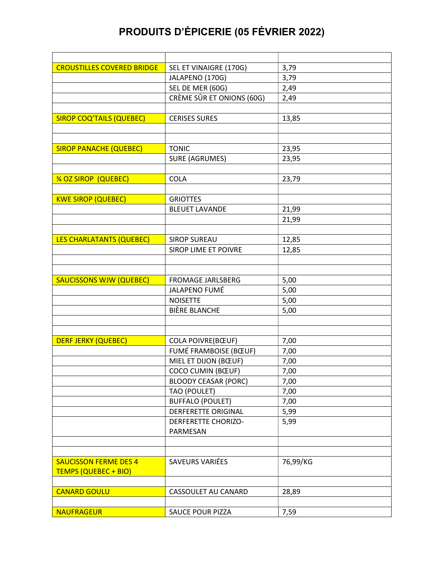| <b>CROUSTILLES COVERED BRIDGE</b> | SEL ET VINAIGRE (170G)      | 3,79     |
|-----------------------------------|-----------------------------|----------|
|                                   | JALAPENO (170G)             | 3,79     |
|                                   | SEL DE MER (60G)            | 2,49     |
|                                   | CRÈME SÛR ET ONIONS (60G)   | 2,49     |
|                                   |                             |          |
| <b>SIROP COQ'TAILS (QUEBEC)</b>   | <b>CERISES SURES</b>        | 13,85    |
|                                   |                             |          |
|                                   |                             |          |
| <b>SIROP PANACHE (QUEBEC)</b>     | <b>TONIC</b>                | 23,95    |
|                                   | <b>SURE (AGRUMES)</b>       | 23,95    |
|                                   |                             |          |
| % OZ SIROP (QUEBEC)               | <b>COLA</b>                 | 23,79    |
|                                   |                             |          |
| <b>KWE SIROP (QUEBEC)</b>         | <b>GRIOTTES</b>             |          |
|                                   | <b>BLEUET LAVANDE</b>       | 21,99    |
|                                   |                             | 21,99    |
|                                   |                             |          |
| LES CHARLATANTS (QUEBEC)          | <b>SIROP SUREAU</b>         | 12,85    |
|                                   | <b>SIROP LIME ET POIVRE</b> | 12,85    |
|                                   |                             |          |
|                                   |                             |          |
| <b>SAUCISSONS WJW (QUEBEC)</b>    | <b>FROMAGE JARLSBERG</b>    | 5,00     |
|                                   | JALAPENO FUMÉ               | 5,00     |
|                                   | <b>NOISETTE</b>             | 5,00     |
|                                   | <b>BIÈRE BLANCHE</b>        | 5,00     |
|                                   |                             |          |
|                                   |                             |          |
| <b>DERF JERKY (QUEBEC)</b>        | <b>COLA POIVRE(BŒUF)</b>    | 7,00     |
|                                   | FUMÉ FRAMBOISE (BŒUF)       | 7,00     |
|                                   | MIEL ET DIJON (BŒUF)        | 7,00     |
|                                   | <b>COCO CUMIN (BŒUF)</b>    | 7,00     |
|                                   | <b>BLOODY CEASAR (PORC)</b> | 7,00     |
|                                   | TAO (POULET)                | 7,00     |
|                                   | <b>BUFFALO (POULET)</b>     | 7,00     |
|                                   | <b>DERFERETTE ORIGINAL</b>  | 5,99     |
|                                   | <b>DERFERETTE CHORIZO-</b>  | 5,99     |
|                                   | PARMESAN                    |          |
|                                   |                             |          |
|                                   |                             |          |
| <b>SAUCISSON FERME DES 4</b>      | SAVEURS VARIÉES             | 76,99/KG |
| <b>TEMPS (QUEBEC + BIO)</b>       |                             |          |
|                                   |                             |          |
| <b>CANARD GOULU</b>               | CASSOULET AU CANARD         | 28,89    |
|                                   |                             |          |
| <b>NAUFRAGEUR</b>                 | <b>SAUCE POUR PIZZA</b>     | 7,59     |